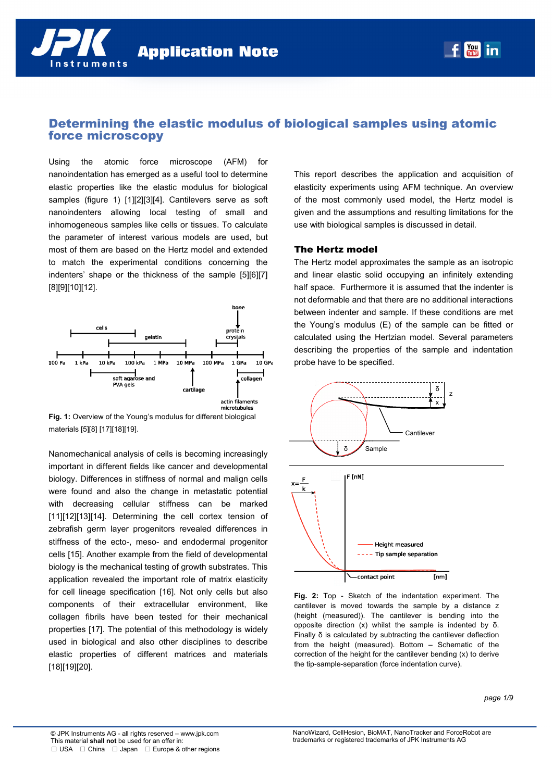# Determining the elastic modulus of biological samples using atomic force microscopy

Using the atomic force microscope (AFM) for nanoindentation has emerged as a useful tool to determine elastic properties like the elastic modulus for biological samples (figure 1) [1][2][3][4]. Cantilevers serve as soft nanoindenters allowing local testing of small and inhomogeneous samples like cells or tissues. To calculate the parameter of interest various models are used, but most of them are based on the Hertz model and extended to match the experimental conditions concerning the indenters' shape or the thickness of the sample [5][6][7] [8][9][10][12].



**Fig. 1:** Overview of the Young's modulus for different biological materials [5][8] [17][18][19].

Nanomechanical analysis of cells is becoming increasingly important in different fields like cancer and developmental biology. Differences in stiffness of normal and malign cells were found and also the change in metastatic potential with decreasing cellular stiffness can be marked [11][12][13][14]. Determining the cell cortex tension of zebrafish germ layer progenitors revealed differences in stiffness of the ecto-, meso- and endodermal progenitor cells [15]. Another example from the field of developmental biology is the mechanical testing of growth substrates. This application revealed the important role of matrix elasticity for cell lineage specification [16]. Not only cells but also components of their extracellular environment, like collagen fibrils have been tested for their mechanical properties [17]. The potential of this methodology is widely used in biological and also other disciplines to describe elastic properties of different matrices and materials [18][19][20].

This report describes the application and acquisition of elasticity experiments using AFM technique. An overview of the most commonly used model, the Hertz model is given and the assumptions and resulting limitations for the use with biological samples is discussed in detail.

# The Hertz model

The Hertz model approximates the sample as an isotropic and linear elastic solid occupying an infinitely extending half space. Furthermore it is assumed that the indenter is not deformable and that there are no additional interactions between indenter and sample. If these conditions are met the Young's modulus (E) of the sample can be fitted or calculated using the Hertzian model. Several parameters describing the properties of the sample and indentation probe have to be specified.



**Fig. 2:** Top - Sketch of the indentation experiment. The cantilever is moved towards the sample by a distance z (height (measured)). The cantilever is bending into the opposite direction (x) whilst the sample is indented by δ. Finally δ is calculated by subtracting the cantilever deflection from the height (measured). Bottom – Schematic of the correction of the height for the cantilever bending (x) to derive the tip-sample-separation (force indentation curve).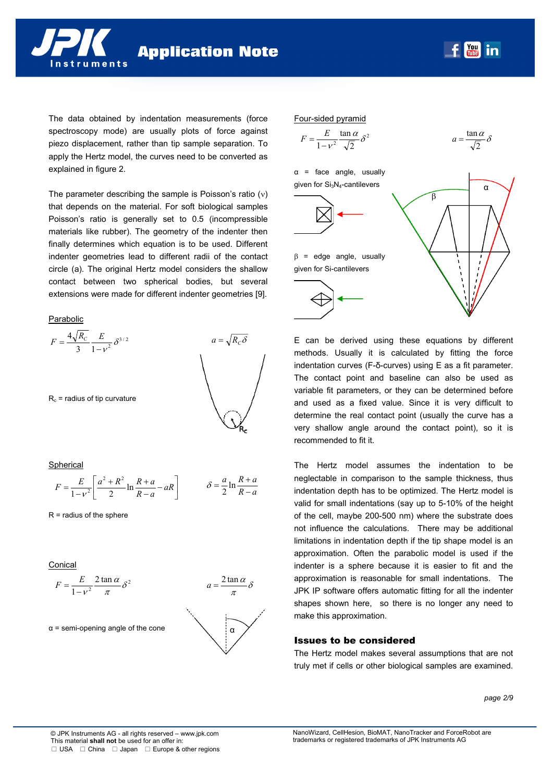**Application Note** 

 $\begin{bmatrix} \text{You} \\ \text{true} \end{bmatrix}$ in

The data obtained by indentation measurements (force spectroscopy mode) are usually plots of force against piezo displacement, rather than tip sample separation. To apply the Hertz model, the curves need to be converted as explained in figure 2.

The parameter describing the sample is Poisson's ratio  $(v)$ that depends on the material. For soft biological samples Poisson's ratio is generally set to 0.5 (incompressible materials like rubber). The geometry of the indenter then finally determines which equation is to be used. Different indenter geometries lead to different radii of the contact circle (a). The original Hertz model considers the shallow contact between two spherical bodies, but several extensions were made for different indenter geometries [9].

#### **Parabolic**



Spherical

$$
F = \frac{E}{1 - v^2} \left[ \frac{a^2 + R^2}{2} \ln \frac{R + a}{R - a} - aR \right] \qquad \delta = \frac{a}{2} \ln \frac{R + a}{R - a}
$$

 $R$  = radius of the sphere

Conical

$$
F = \frac{E}{1 - v^2} \frac{2 \tan \alpha}{\pi} \delta^2
$$

 $\alpha$  = semi-opening angle of the cone





E can be derived using these equations by different methods. Usually it is calculated by fitting the force indentation curves (F-δ-curves) using E as a fit parameter. The contact point and baseline can also be used as variable fit parameters, or they can be determined before and used as a fixed value. Since it is very difficult to determine the real contact point (usually the curve has a very shallow angle around the contact point), so it is recommended to fit it.

The Hertz model assumes the indentation to be neglectable in comparison to the sample thickness, thus indentation depth has to be optimized. The Hertz model is valid for small indentations (say up to 5-10% of the height of the cell, maybe 200-500 nm) where the substrate does not influence the calculations. There may be additional limitations in indentation depth if the tip shape model is an approximation. Often the parabolic model is used if the indenter is a sphere because it is easier to fit and the approximation is reasonable for small indentations. The JPK IP software offers automatic fitting for all the indenter shapes shown here, so there is no longer any need to make this approximation.

### Issues to be considered

The Hertz model makes several assumptions that are not truly met if cells or other biological samples are examined.

*page 2/9*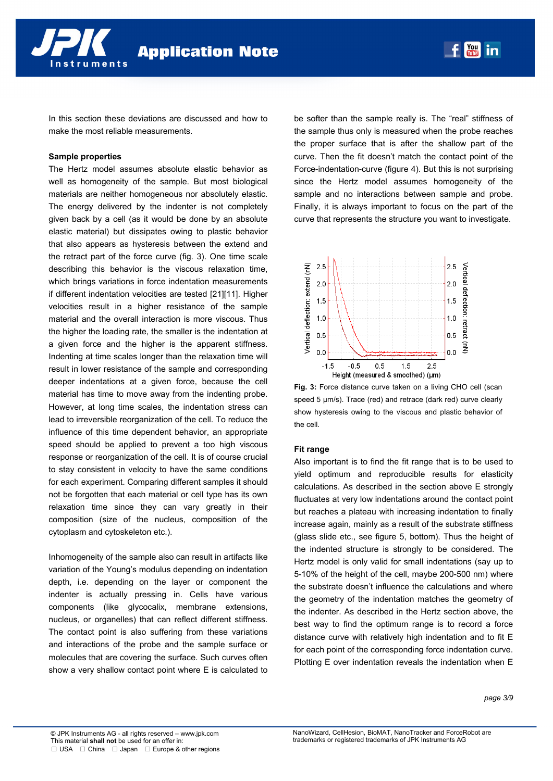In this section these deviations are discussed and how to make the most reliable measurements.

# **Sample properties**

The Hertz model assumes absolute elastic behavior as well as homogeneity of the sample. But most biological materials are neither homogeneous nor absolutely elastic. The energy delivered by the indenter is not completely given back by a cell (as it would be done by an absolute elastic material) but dissipates owing to plastic behavior that also appears as hysteresis between the extend and the retract part of the force curve (fig. 3). One time scale describing this behavior is the viscous relaxation time, which brings variations in force indentation measurements if different indentation velocities are tested [21][11]. Higher velocities result in a higher resistance of the sample material and the overall interaction is more viscous. Thus the higher the loading rate, the smaller is the indentation at a given force and the higher is the apparent stiffness. Indenting at time scales longer than the relaxation time will result in lower resistance of the sample and corresponding deeper indentations at a given force, because the cell material has time to move away from the indenting probe. However, at long time scales, the indentation stress can lead to irreversible reorganization of the cell. To reduce the influence of this time dependent behavior, an appropriate speed should be applied to prevent a too high viscous response or reorganization of the cell. It is of course crucial to stay consistent in velocity to have the same conditions for each experiment. Comparing different samples it should not be forgotten that each material or cell type has its own relaxation time since they can vary greatly in their composition (size of the nucleus, composition of the cytoplasm and cytoskeleton etc.).

Inhomogeneity of the sample also can result in artifacts like variation of the Young's modulus depending on indentation depth, i.e. depending on the layer or component the indenter is actually pressing in. Cells have various components (like glycocalix, membrane extensions, nucleus, or organelles) that can reflect different stiffness. The contact point is also suffering from these variations and interactions of the probe and the sample surface or molecules that are covering the surface. Such curves often show a very shallow contact point where E is calculated to be softer than the sample really is. The "real" stiffness of the sample thus only is measured when the probe reaches the proper surface that is after the shallow part of the curve. Then the fit doesn't match the contact point of the Force-indentation-curve (figure 4). But this is not surprising since the Hertz model assumes homogeneity of the sample and no interactions between sample and probe. Finally, it is always important to focus on the part of the curve that represents the structure you want to investigate.



**Fig. 3:** Force distance curve taken on a living CHO cell (scan speed 5 µm/s). Trace (red) and retrace (dark red) curve clearly show hysteresis owing to the viscous and plastic behavior of the cell.

#### **Fit range**

Also important is to find the fit range that is to be used to yield optimum and reproducible results for elasticity calculations. As described in the section above E strongly fluctuates at very low indentations around the contact point but reaches a plateau with increasing indentation to finally increase again, mainly as a result of the substrate stiffness (glass slide etc., see figure 5, bottom). Thus the height of the indented structure is strongly to be considered. The Hertz model is only valid for small indentations (say up to 5-10% of the height of the cell, maybe 200-500 nm) where the substrate doesn't influence the calculations and where the geometry of the indentation matches the geometry of the indenter. As described in the Hertz section above, the best way to find the optimum range is to record a force distance curve with relatively high indentation and to fit E for each point of the corresponding force indentation curve. Plotting E over indentation reveals the indentation when E

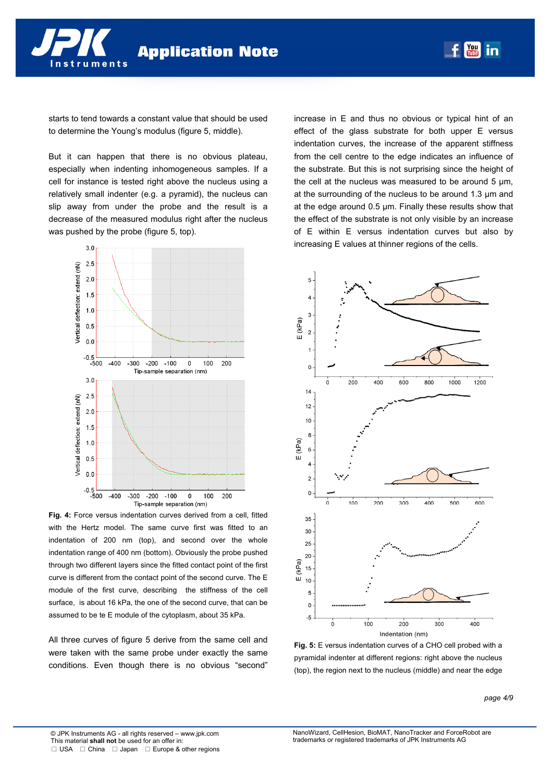starts to tend towards a constant value that should be used to determine the Young's modulus (figure 5, middle).

But it can happen that there is no obvious plateau, especially when indenting inhomogeneous samples. If a cell for instance is tested right above the nucleus using a relatively small indenter (e.g. a pyramid), the nucleus can slip away from under the probe and the result is a decrease of the measured modulus right after the nucleus was pushed by the probe (figure 5, top).



**Fig. 4:** Force versus indentation curves derived from a cell, fitted with the Hertz model. The same curve first was fitted to an indentation of 200 nm (top), and second over the whole indentation range of 400 nm (bottom). Obviously the probe pushed through two different layers since the fitted contact point of the first curve is different from the contact point of the second curve. The E module of the first curve, describing the stiffness of the cell surface, is about 16 kPa, the one of the second curve, that can be assumed to be te E module of the cytoplasm, about 35 kPa.

All three curves of figure 5 derive from the same cell and were taken with the same probe under exactly the same conditions. Even though there is no obvious "second"

increase in E and thus no obvious or typical hint of an effect of the glass substrate for both upper E versus indentation curves, the increase of the apparent stiffness from the cell centre to the edge indicates an influence of the substrate. But this is not surprising since the height of the cell at the nucleus was measured to be around 5 µm, at the surrounding of the nucleus to be around 1.3 µm and at the edge around 0.5 µm. Finally these results show that the effect of the substrate is not only visible by an increase of E within E versus indentation curves but also by increasing E values at thinner regions of the cells.

**You** in



**Fig. 5:** E versus indentation curves of a CHO cell probed with a pyramidal indenter at different regions: right above the nucleus (top), the region next to the nucleus (middle) and near the edge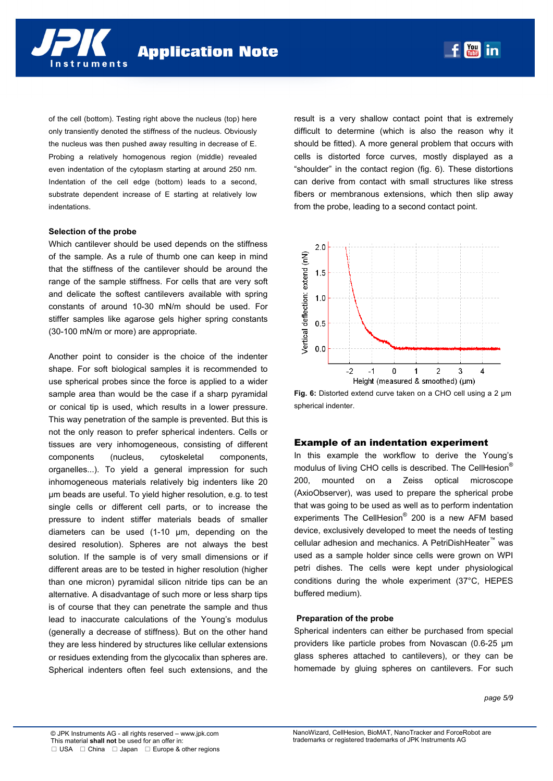of the cell (bottom). Testing right above the nucleus (top) here only transiently denoted the stiffness of the nucleus. Obviously the nucleus was then pushed away resulting in decrease of E. Probing a relatively homogenous region (middle) revealed even indentation of the cytoplasm starting at around 250 nm. Indentation of the cell edge (bottom) leads to a second, substrate dependent increase of E starting at relatively low indentations.

#### **Selection of the probe**

Which cantilever should be used depends on the stiffness of the sample. As a rule of thumb one can keep in mind that the stiffness of the cantilever should be around the range of the sample stiffness. For cells that are very soft and delicate the softest cantilevers available with spring constants of around 10-30 mN/m should be used. For stiffer samples like agarose gels higher spring constants (30-100 mN/m or more) are appropriate.

Another point to consider is the choice of the indenter shape. For soft biological samples it is recommended to use spherical probes since the force is applied to a wider sample area than would be the case if a sharp pyramidal or conical tip is used, which results in a lower pressure. This way penetration of the sample is prevented. But this is not the only reason to prefer spherical indenters. Cells or tissues are very inhomogeneous, consisting of different components (nucleus, cytoskeletal components, organelles...). To yield a general impression for such inhomogeneous materials relatively big indenters like 20 µm beads are useful. To yield higher resolution, e.g. to test single cells or different cell parts, or to increase the pressure to indent stiffer materials beads of smaller diameters can be used (1-10 µm, depending on the desired resolution). Spheres are not always the best solution. If the sample is of very small dimensions or if different areas are to be tested in higher resolution (higher than one micron) pyramidal silicon nitride tips can be an alternative. A disadvantage of such more or less sharp tips is of course that they can penetrate the sample and thus lead to inaccurate calculations of the Young's modulus (generally a decrease of stiffness). But on the other hand they are less hindered by structures like cellular extensions or residues extending from the glycocalix than spheres are. Spherical indenters often feel such extensions, and the

result is a very shallow contact point that is extremely difficult to determine (which is also the reason why it should be fitted). A more general problem that occurs with cells is distorted force curves, mostly displayed as a "shoulder" in the contact region (fig. 6). These distortions can derive from contact with small structures like stress fibers or membranous extensions, which then slip away from the probe, leading to a second contact point.

You | in



**Fig. 6:** Distorted extend curve taken on a CHO cell using a 2 µm spherical indenter.

### Example of an indentation experiment

In this example the workflow to derive the Young's modulus of living CHO cells is described. The CellHesion<sup>®</sup> 200, mounted on a Zeiss optical microscope (AxioObserver), was used to prepare the spherical probe that was going to be used as well as to perform indentation experiments The CellHesion® 200 is a new AFM based device, exclusively developed to meet the needs of testing cellular adhesion and mechanics. A PetriDishHeater<sup>™</sup> was used as a sample holder since cells were grown on WPI petri dishes. The cells were kept under physiological conditions during the whole experiment (37°C, HEPES buffered medium).

#### **Preparation of the probe**

Spherical indenters can either be purchased from special providers like particle probes from Novascan (0.6-25 µm glass spheres attached to cantilevers), or they can be homemade by gluing spheres on cantilevers. For such

*page 5/9*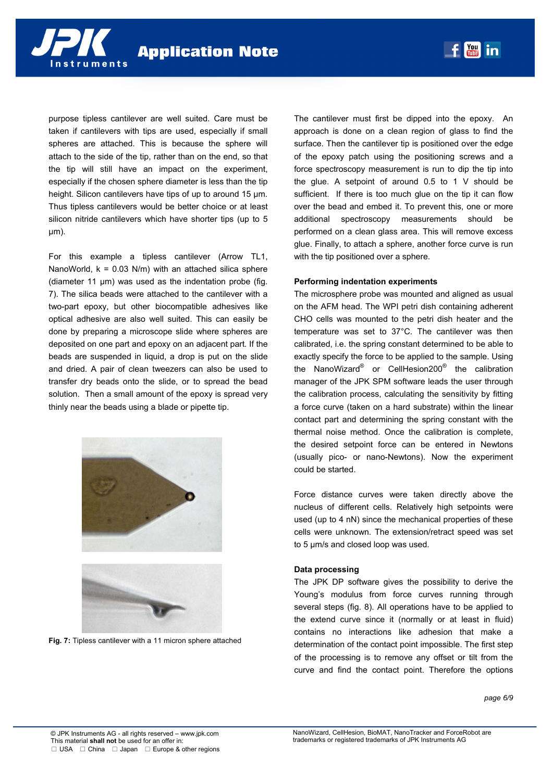

purpose tipless cantilever are well suited. Care must be taken if cantilevers with tips are used, especially if small spheres are attached. This is because the sphere will attach to the side of the tip, rather than on the end, so that the tip will still have an impact on the experiment, especially if the chosen sphere diameter is less than the tip height. Silicon cantilevers have tips of up to around 15  $\mu$ m. Thus tipless cantilevers would be better choice or at least silicon nitride cantilevers which have shorter tips (up to 5 µm).

For this example a tipless cantilever (Arrow TL1, NanoWorld,  $k = 0.03$  N/m) with an attached silica sphere (diameter 11 µm) was used as the indentation probe (fig. 7). The silica beads were attached to the cantilever with a two-part epoxy, but other biocompatible adhesives like optical adhesive are also well suited. This can easily be done by preparing a microscope slide where spheres are deposited on one part and epoxy on an adjacent part. If the beads are suspended in liquid, a drop is put on the slide and dried. A pair of clean tweezers can also be used to transfer dry beads onto the slide, or to spread the bead solution. Then a small amount of the epoxy is spread very thinly near the beads using a blade or pipette tip.



**Fig. 7:** Tipless cantilever with a 11 micron sphere attached

The cantilever must first be dipped into the epoxy. An approach is done on a clean region of glass to find the surface. Then the cantilever tip is positioned over the edge of the epoxy patch using the positioning screws and a force spectroscopy measurement is run to dip the tip into the glue. A setpoint of around 0.5 to 1 V should be sufficient. If there is too much glue on the tip it can flow over the bead and embed it. To prevent this, one or more additional spectroscopy measurements should be performed on a clean glass area. This will remove excess glue. Finally, to attach a sphere, another force curve is run with the tip positioned over a sphere.

### **Performing indentation experiments**

The microsphere probe was mounted and aligned as usual on the AFM head. The WPI petri dish containing adherent CHO cells was mounted to the petri dish heater and the temperature was set to 37°C. The cantilever was then calibrated, i.e. the spring constant determined to be able to exactly specify the force to be applied to the sample. Using the NanoWizard® or CellHesion200® the calibration manager of the JPK SPM software leads the user through the calibration process, calculating the sensitivity by fitting a force curve (taken on a hard substrate) within the linear contact part and determining the spring constant with the thermal noise method. Once the calibration is complete, the desired setpoint force can be entered in Newtons (usually pico- or nano-Newtons). Now the experiment could be started.

Force distance curves were taken directly above the nucleus of different cells. Relatively high setpoints were used (up to 4 nN) since the mechanical properties of these cells were unknown. The extension/retract speed was set to 5 µm/s and closed loop was used.

### **Data processing**

The JPK DP software gives the possibility to derive the Young's modulus from force curves running through several steps (fig. 8). All operations have to be applied to the extend curve since it (normally or at least in fluid) contains no interactions like adhesion that make a determination of the contact point impossible. The first step of the processing is to remove any offset or tilt from the curve and find the contact point. Therefore the options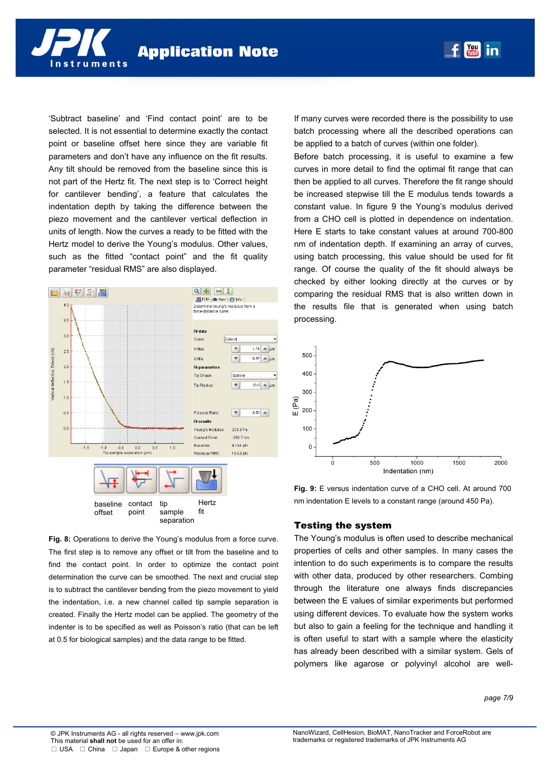

'Subtract baseline' and 'Find contact point' are to be selected. It is not essential to determine exactly the contact point or baseline offset here since they are variable fit parameters and don't have any influence on the fit results. Any tilt should be removed from the baseline since this is not part of the Hertz fit. The next step is to 'Correct height for cantilever bending', a feature that calculates the indentation depth by taking the difference between the piezo movement and the cantilever vertical deflection in units of length. Now the curves a ready to be fitted with the Hertz model to derive the Young's modulus. Other values, such as the fitted "contact point" and the fit quality parameter "residual RMS" are also displayed.



**Fig. 8:** Operations to derive the Young's modulus from a force curve. The first step is to remove any offset or tilt from the baseline and to find the contact point. In order to optimize the contact point determination the curve can be smoothed. The next and crucial step is to subtract the cantilever bending from the piezo movement to yield the indentation, i.e. a new channel called tip sample separation is created. Finally the Hertz model can be applied. The geometry of the indenter is to be specified as well as Poisson's ratio (that can be left at 0.5 for biological samples) and the data range to be fitted.

separation

If many curves were recorded there is the possibility to use batch processing where all the described operations can be applied to a batch of curves (within one folder).

**You** 

in

Before batch processing, it is useful to examine a few curves in more detail to find the optimal fit range that can then be applied to all curves. Therefore the fit range should be increased stepwise till the E modulus tends towards a constant value. In figure 9 the Young's modulus derived from a CHO cell is plotted in dependence on indentation. Here E starts to take constant values at around 700-800 nm of indentation depth. If examining an array of curves, using batch processing, this value should be used for fit range. Of course the quality of the fit should always be checked by either looking directly at the curves or by comparing the residual RMS that is also written down in the results file that is generated when using batch processing.



**Fig. 9:** E versus indentation curve of a CHO cell. At around 700 nm indentation E levels to a constant range (around 450 Pa).

### Testing the system

The Young's modulus is often used to describe mechanical properties of cells and other samples. In many cases the intention to do such experiments is to compare the results with other data, produced by other researchers. Combing through the literature one always finds discrepancies between the E values of similar experiments but performed using different devices. To evaluate how the system works but also to gain a feeling for the technique and handling it is often useful to start with a sample where the elasticity has already been described with a similar system. Gels of polymers like agarose or polyvinyl alcohol are well-

*page 7/9*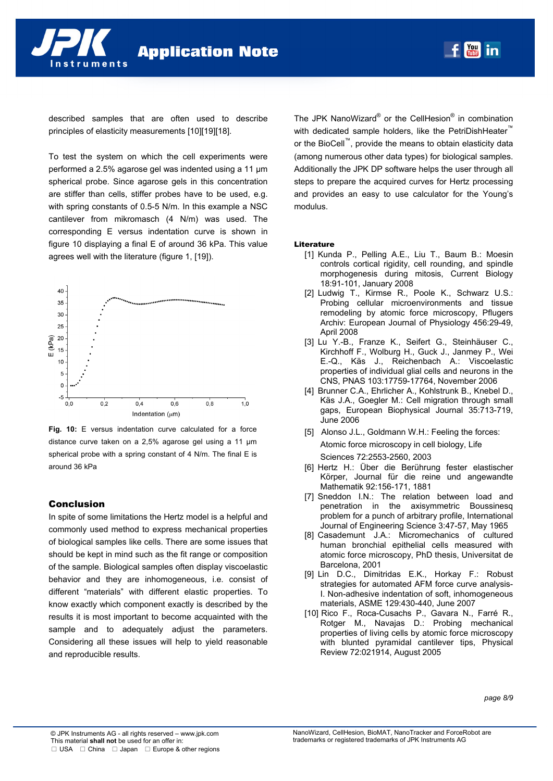

described samples that are often used to describe principles of elasticity measurements [10][19][18].

To test the system on which the cell experiments were performed a 2.5% agarose gel was indented using a 11 µm spherical probe. Since agarose gels in this concentration are stiffer than cells, stiffer probes have to be used, e.g. with spring constants of 0.5-5 N/m. In this example a NSC cantilever from mikromasch (4 N/m) was used. The corresponding E versus indentation curve is shown in figure 10 displaying a final E of around 36 kPa. This value agrees well with the literature (figure 1, [19]).



**Fig. 10:** E versus indentation curve calculated for a force distance curve taken on a 2,5% agarose gel using a 11 µm spherical probe with a spring constant of 4 N/m. The final E is around 36 kPa

# Conclusion

In spite of some limitations the Hertz model is a helpful and commonly used method to express mechanical properties of biological samples like cells. There are some issues that should be kept in mind such as the fit range or composition of the sample. Biological samples often display viscoelastic behavior and they are inhomogeneous, i.e. consist of different "materials" with different elastic properties. To know exactly which component exactly is described by the results it is most important to become acquainted with the sample and to adequately adjust the parameters. Considering all these issues will help to yield reasonable and reproducible results.

The JPK NanoWizard<sup>®</sup> or the CellHesion<sup>®</sup> in combination with dedicated sample holders, like the PetriDishHeater™ or the BioCell™, provide the means to obtain elasticity data (among numerous other data types) for biological samples. Additionally the JPK DP software helps the user through all steps to prepare the acquired curves for Hertz processing and provides an easy to use calculator for the Young's modulus.

### Literature

- [1] Kunda P., Pelling A.E., Liu T., Baum B.: Moesin controls cortical rigidity, cell rounding, and spindle morphogenesis during mitosis, Current Biology 18:91-101, January 2008
- [2] Ludwig T., Kirmse R., Poole K., Schwarz U.S.: Probing cellular microenvironments and tissue remodeling by atomic force microscopy, Pflugers Archiv: European Journal of Physiology 456:29-49, April 2008
- [3] Lu Y.-B., Franze K., Seifert G., Steinhäuser C., Kirchhoff F., Wolburg H., Guck J., Janmey P., Wei E.-Q., Käs J., Reichenbach A.: Viscoelastic properties of individual glial cells and neurons in the CNS, PNAS 103:17759-17764, November 2006
- [4] Brunner C.A., Ehrlicher A., Kohlstrunk B., Knebel D., Käs J.A., Goegler M.: Cell migration through small gaps, European Biophysical Journal 35:713-719, June 2006
- [5] Alonso J.L., Goldmann W.H.: Feeling the forces: Atomic force microscopy in cell biology, Life Sciences 72:2553-2560, 2003
- [6] Hertz H.: Über die Berührung fester elastischer Körper, Journal für die reine und angewandte Mathematik 92:156-171, 1881
- [7] Sneddon I.N.: The relation between load and penetration in the axisymmetric Boussinesq problem for a punch of arbitrary profile, International Journal of Engineering Science 3:47-57, May 1965
- [8] Casademunt J.A.: Micromechanics of cultured human bronchial epithelial cells measured with atomic force microscopy, PhD thesis, Universitat de Barcelona, 2001
- [9] Lin D.C., Dimitridas E.K., Horkay F.: Robust strategies for automated AFM force curve analysis-I. Non-adhesive indentation of soft, inhomogeneous materials, ASME 129:430-440, June 2007
- [10] Rico F., Roca-Cusachs P., Gavara N., Farré R., Rotger M., Navajas D.: Probing mechanical properties of living cells by atomic force microscopy with blunted pyramidal cantilever tips, Physical Review 72:021914, August 2005

*page 8/9*